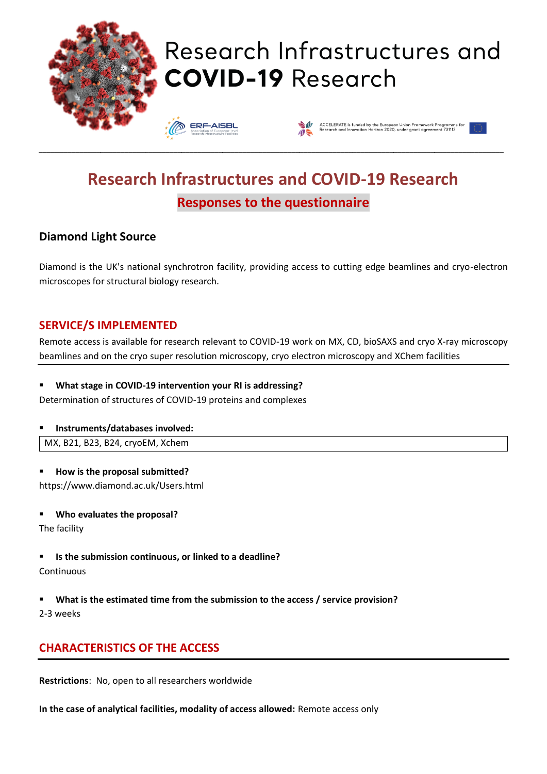

# Research Infrastructures and **COVID-19 Research**



# **Research Infrastructures and COVID-19 Research Responses to the questionnaire**

\_\_\_\_\_\_\_\_\_\_\_\_\_\_\_\_\_\_\_\_\_\_\_\_\_\_\_\_\_\_\_\_\_\_\_\_\_\_\_\_\_\_\_\_\_\_\_\_\_\_\_\_\_\_\_\_\_\_\_\_\_\_\_\_\_\_\_\_\_\_\_\_\_\_\_\_\_\_\_\_\_\_\_\_\_\_\_\_\_\_\_\_\_\_\_\_\_\_\_\_\_\_\_\_\_\_\_\_\_\_\_\_\_\_

# **Diamond Light Source**

Diamond is the UK's national synchrotron facility, providing access to cutting edge beamlines and cryo-electron microscopes for structural biology research.

### **SERVICE/S IMPLEMENTED**

Remote access is available for research relevant to COVID-19 work on MX, CD, bioSAXS and cryo X-ray microscopy beamlines and on the cryo super resolution microscopy, cryo electron microscopy and XChem facilities

#### What stage in COVID-19 intervention your RI is addressing?

Determination of structures of COVID-19 proteins and complexes

#### ▪ **Instruments/databases involved:**

MX, B21, B23, B24, cryoEM, Xchem

▪ **How is the proposal submitted?** https://www.diamond.ac.uk/Users.html

- **Who evaluates the proposal?**
- The facility
- **Is the submission continuous, or linked to a deadline? Continuous**
- **What is the estimated time from the submission to the access / service provision?** 2-3 weeks

# **CHARACTERISTICS OF THE ACCESS**

**Restrictions**: No, open to all researchers worldwide

**In the case of analytical facilities, modality of access allowed:** Remote access only